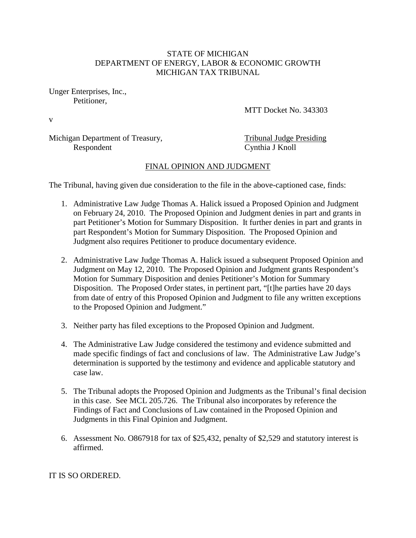## STATE OF MICHIGAN DEPARTMENT OF ENERGY, LABOR & ECONOMIC GROWTH MICHIGAN TAX TRIBUNAL

Unger Enterprises, Inc., Petitioner,

MTT Docket No. 343303

v

Michigan Department of Treasury,<br>
Respondent<br>
Cynthia J Knoll

Cynthia J Knoll

## FINAL OPINION AND JUDGMENT

The Tribunal, having given due consideration to the file in the above-captioned case, finds:

- 1. Administrative Law Judge Thomas A. Halick issued a Proposed Opinion and Judgment on February 24, 2010. The Proposed Opinion and Judgment denies in part and grants in part Petitioner's Motion for Summary Disposition. It further denies in part and grants in part Respondent's Motion for Summary Disposition. The Proposed Opinion and Judgment also requires Petitioner to produce documentary evidence.
- 2. Administrative Law Judge Thomas A. Halick issued a subsequent Proposed Opinion and Judgment on May 12, 2010. The Proposed Opinion and Judgment grants Respondent's Motion for Summary Disposition and denies Petitioner's Motion for Summary Disposition. The Proposed Order states, in pertinent part, "[t]he parties have 20 days from date of entry of this Proposed Opinion and Judgment to file any written exceptions to the Proposed Opinion and Judgment."
- 3. Neither party has filed exceptions to the Proposed Opinion and Judgment.
- 4. The Administrative Law Judge considered the testimony and evidence submitted and made specific findings of fact and conclusions of law. The Administrative Law Judge's determination is supported by the testimony and evidence and applicable statutory and case law.
- 5. The Tribunal adopts the Proposed Opinion and Judgments as the Tribunal's final decision in this case. See MCL 205.726. The Tribunal also incorporates by reference the Findings of Fact and Conclusions of Law contained in the Proposed Opinion and Judgments in this Final Opinion and Judgment.
- 6. Assessment No. O867918 for tax of \$25,432, penalty of \$2,529 and statutory interest is affirmed.

IT IS SO ORDERED.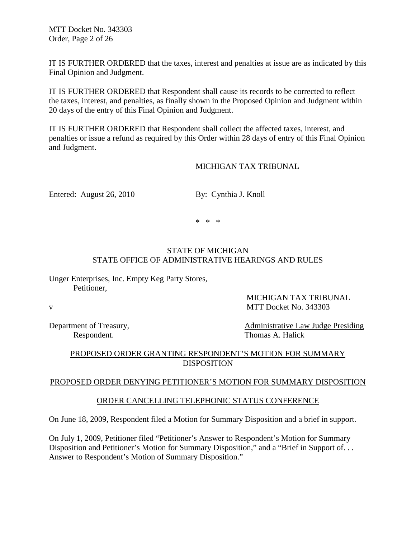MTT Docket No. 343303 Order, Page 2 of 26

IT IS FURTHER ORDERED that the taxes, interest and penalties at issue are as indicated by this Final Opinion and Judgment.

IT IS FURTHER ORDERED that Respondent shall cause its records to be corrected to reflect the taxes, interest, and penalties, as finally shown in the Proposed Opinion and Judgment within 20 days of the entry of this Final Opinion and Judgment.

IT IS FURTHER ORDERED that Respondent shall collect the affected taxes, interest, and penalties or issue a refund as required by this Order within 28 days of entry of this Final Opinion and Judgment.

#### MICHIGAN TAX TRIBUNAL

Entered: August 26, 2010 By: Cynthia J. Knoll

\* \* \*

## STATE OF MICHIGAN STATE OFFICE OF ADMINISTRATIVE HEARINGS AND RULES

Unger Enterprises, Inc. Empty Keg Party Stores, Petitioner,

v MTT Docket No. 343303

Department of Treasury, the contractive Case of Treasury, Administrative Law Judge Presiding

MICHIGAN TAX TRIBUNAL

Respondent. Thomas A. Halick

## PROPOSED ORDER GRANTING RESPONDENT'S MOTION FOR SUMMARY DISPOSITION

#### PROPOSED ORDER DENYING PETITIONER'S MOTION FOR SUMMARY DISPOSITION

## ORDER CANCELLING TELEPHONIC STATUS CONFERENCE

On June 18, 2009, Respondent filed a Motion for Summary Disposition and a brief in support.

On July 1, 2009, Petitioner filed "Petitioner's Answer to Respondent's Motion for Summary Disposition and Petitioner's Motion for Summary Disposition," and a "Brief in Support of... Answer to Respondent's Motion of Summary Disposition."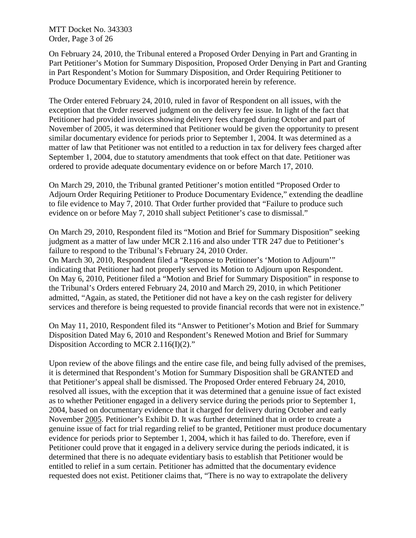MTT Docket No. 343303 Order, Page 3 of 26

On February 24, 2010, the Tribunal entered a Proposed Order Denying in Part and Granting in Part Petitioner's Motion for Summary Disposition, Proposed Order Denying in Part and Granting in Part Respondent's Motion for Summary Disposition, and Order Requiring Petitioner to Produce Documentary Evidence, which is incorporated herein by reference.

The Order entered February 24, 2010, ruled in favor of Respondent on all issues, with the exception that the Order reserved judgment on the delivery fee issue. In light of the fact that Petitioner had provided invoices showing delivery fees charged during October and part of November of 2005, it was determined that Petitioner would be given the opportunity to present similar documentary evidence for periods prior to September 1, 2004. It was determined as a matter of law that Petitioner was not entitled to a reduction in tax for delivery fees charged after September 1, 2004, due to statutory amendments that took effect on that date. Petitioner was ordered to provide adequate documentary evidence on or before March 17, 2010.

On March 29, 2010, the Tribunal granted Petitioner's motion entitled "Proposed Order to Adjourn Order Requiring Petitioner to Produce Documentary Evidence," extending the deadline to file evidence to May 7, 2010. That Order further provided that "Failure to produce such evidence on or before May 7, 2010 shall subject Petitioner's case to dismissal."

On March 29, 2010, Respondent filed its "Motion and Brief for Summary Disposition" seeking judgment as a matter of law under MCR 2.116 and also under TTR 247 due to Petitioner's failure to respond to the Tribunal's February 24, 2010 Order.

On March 30, 2010, Respondent filed a "Response to Petitioner's 'Motion to Adjourn'" indicating that Petitioner had not properly served its Motion to Adjourn upon Respondent. On May 6, 2010, Petitioner filed a "Motion and Brief for Summary Disposition" in response to the Tribunal's Orders entered February 24, 2010 and March 29, 2010, in which Petitioner admitted, "Again, as stated, the Petitioner did not have a key on the cash register for delivery services and therefore is being requested to provide financial records that were not in existence."

On May 11, 2010, Respondent filed its "Answer to Petitioner's Motion and Brief for Summary Disposition Dated May 6, 2010 and Respondent's Renewed Motion and Brief for Summary Disposition According to MCR 2.116(I)(2)."

Upon review of the above filings and the entire case file, and being fully advised of the premises, it is determined that Respondent's Motion for Summary Disposition shall be GRANTED and that Petitioner's appeal shall be dismissed. The Proposed Order entered February 24, 2010, resolved all issues, with the exception that it was determined that a genuine issue of fact existed as to whether Petitioner engaged in a delivery service during the periods prior to September 1, 2004, based on documentary evidence that it charged for delivery during October and early November 2005. Petitioner's Exhibit D. It was further determined that in order to create a genuine issue of fact for trial regarding relief to be granted, Petitioner must produce documentary evidence for periods prior to September 1, 2004, which it has failed to do. Therefore, even if Petitioner could prove that it engaged in a delivery service during the periods indicated, it is determined that there is no adequate evidentiary basis to establish that Petitioner would be entitled to relief in a sum certain. Petitioner has admitted that the documentary evidence requested does not exist. Petitioner claims that, "There is no way to extrapolate the delivery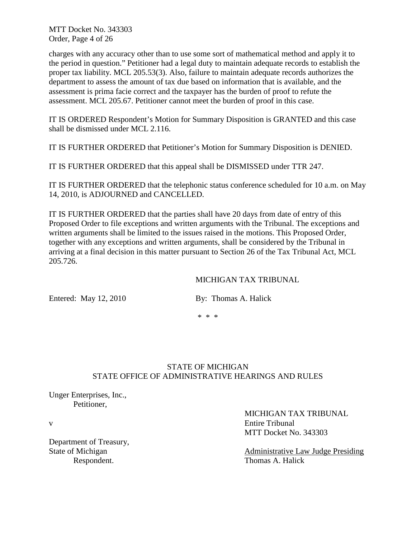MTT Docket No. 343303 Order, Page 4 of 26

charges with any accuracy other than to use some sort of mathematical method and apply it to the period in question." Petitioner had a legal duty to maintain adequate records to establish the proper tax liability. MCL 205.53(3). Also, failure to maintain adequate records authorizes the department to assess the amount of tax due based on information that is available, and the assessment is prima facie correct and the taxpayer has the burden of proof to refute the assessment. MCL 205.67. Petitioner cannot meet the burden of proof in this case.

IT IS ORDERED Respondent's Motion for Summary Disposition is GRANTED and this case shall be dismissed under MCL 2.116.

IT IS FURTHER ORDERED that Petitioner's Motion for Summary Disposition is DENIED.

IT IS FURTHER ORDERED that this appeal shall be DISMISSED under TTR 247.

IT IS FURTHER ORDERED that the telephonic status conference scheduled for 10 a.m. on May 14, 2010, is ADJOURNED and CANCELLED.

IT IS FURTHER ORDERED that the parties shall have 20 days from date of entry of this Proposed Order to file exceptions and written arguments with the Tribunal. The exceptions and written arguments shall be limited to the issues raised in the motions. This Proposed Order, together with any exceptions and written arguments, shall be considered by the Tribunal in arriving at a final decision in this matter pursuant to Section 26 of the Tax Tribunal Act, MCL 205.726.

#### MICHIGAN TAX TRIBUNAL

Entered: May 12, 2010 By: Thomas A. Halick

\* \* \*

## STATE OF MICHIGAN STATE OFFICE OF ADMINISTRATIVE HEARINGS AND RULES

Unger Enterprises, Inc., Petitioner,

Department of Treasury,

 MICHIGAN TAX TRIBUNAL v Entire Tribunal MTT Docket No. 343303

State of Michigan Administrative Law Judge Presiding Respondent. Thomas A. Halick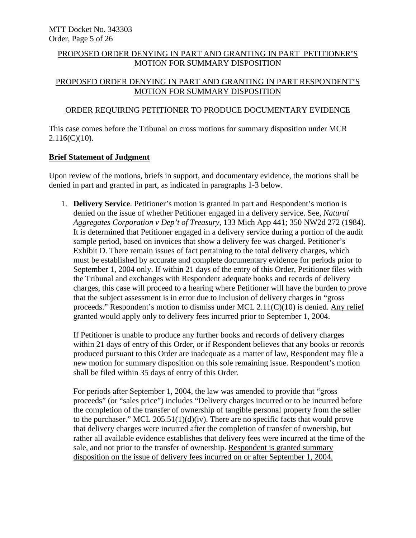## PROPOSED ORDER DENYING IN PART AND GRANTING IN PART PETITIONER'S MOTION FOR SUMMARY DISPOSITION

## PROPOSED ORDER DENYING IN PART AND GRANTING IN PART RESPONDENT'S MOTION FOR SUMMARY DISPOSITION

## ORDER REQUIRING PETITIONER TO PRODUCE DOCUMENTARY EVIDENCE

This case comes before the Tribunal on cross motions for summary disposition under MCR  $2.116(C)(10)$ .

#### **Brief Statement of Judgment**

Upon review of the motions, briefs in support, and documentary evidence, the motions shall be denied in part and granted in part, as indicated in paragraphs 1-3 below.

1. **Delivery Service**. Petitioner's motion is granted in part and Respondent's motion is denied on the issue of whether Petitioner engaged in a delivery service. See, *Natural Aggregates Corporation v Dep't of Treasury*, 133 Mich App 441; 350 NW2d 272 (1984). It is determined that Petitioner engaged in a delivery service during a portion of the audit sample period, based on invoices that show a delivery fee was charged. Petitioner's Exhibit D. There remain issues of fact pertaining to the total delivery charges, which must be established by accurate and complete documentary evidence for periods prior to September 1, 2004 only. If within 21 days of the entry of this Order, Petitioner files with the Tribunal and exchanges with Respondent adequate books and records of delivery charges, this case will proceed to a hearing where Petitioner will have the burden to prove that the subject assessment is in error due to inclusion of delivery charges in "gross proceeds." Respondent's motion to dismiss under MCL 2.11(C)(10) is denied. Any relief granted would apply only to delivery fees incurred prior to September 1, 2004.

If Petitioner is unable to produce any further books and records of delivery charges within 21 days of entry of this Order, or if Respondent believes that any books or records produced pursuant to this Order are inadequate as a matter of law, Respondent may file a new motion for summary disposition on this sole remaining issue. Respondent's motion shall be filed within 35 days of entry of this Order.

For periods after September 1, 2004, the law was amended to provide that "gross proceeds" (or "sales price") includes "Delivery charges incurred or to be incurred before the completion of the transfer of ownership of tangible personal property from the seller to the purchaser." MCL 205.51(1)(d)(iv). There are no specific facts that would prove that delivery charges were incurred after the completion of transfer of ownership, but rather all available evidence establishes that delivery fees were incurred at the time of the sale, and not prior to the transfer of ownership. Respondent is granted summary disposition on the issue of delivery fees incurred on or after September 1, 2004.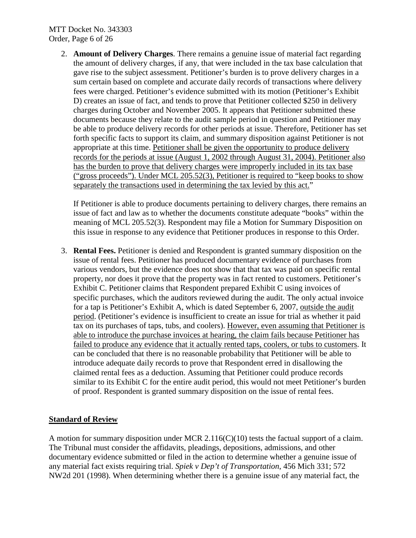## MTT Docket No. 343303 Order, Page 6 of 26

2. **Amount of Delivery Charges**. There remains a genuine issue of material fact regarding the amount of delivery charges, if any, that were included in the tax base calculation that gave rise to the subject assessment. Petitioner's burden is to prove delivery charges in a sum certain based on complete and accurate daily records of transactions where delivery fees were charged. Petitioner's evidence submitted with its motion (Petitioner's Exhibit D) creates an issue of fact, and tends to prove that Petitioner collected \$250 in delivery charges during October and November 2005. It appears that Petitioner submitted these documents because they relate to the audit sample period in question and Petitioner may be able to produce delivery records for other periods at issue. Therefore, Petitioner has set forth specific facts to support its claim, and summary disposition against Petitioner is not appropriate at this time. Petitioner shall be given the opportunity to produce delivery records for the periods at issue (August 1, 2002 through August 31, 2004). Petitioner also has the burden to prove that delivery charges were improperly included in its tax base ("gross proceeds"). Under MCL 205.52(3), Petitioner is required to "keep books to show separately the transactions used in determining the tax levied by this act."

If Petitioner is able to produce documents pertaining to delivery charges, there remains an issue of fact and law as to whether the documents constitute adequate "books" within the meaning of MCL 205.52(3). Respondent may file a Motion for Summary Disposition on this issue in response to any evidence that Petitioner produces in response to this Order.

3. **Rental Fees.** Petitioner is denied and Respondent is granted summary disposition on the issue of rental fees. Petitioner has produced documentary evidence of purchases from various vendors, but the evidence does not show that that tax was paid on specific rental property, nor does it prove that the property was in fact rented to customers. Petitioner's Exhibit C. Petitioner claims that Respondent prepared Exhibit C using invoices of specific purchases, which the auditors reviewed during the audit. The only actual invoice for a tap is Petitioner's Exhibit A, which is dated September 6, 2007, outside the audit period. (Petitioner's evidence is insufficient to create an issue for trial as whether it paid tax on its purchases of taps, tubs, and coolers). However, even assuming that Petitioner is able to introduce the purchase invoices at hearing, the claim fails because Petitioner has failed to produce any evidence that it actually rented taps, coolers, or tubs to customers. It can be concluded that there is no reasonable probability that Petitioner will be able to introduce adequate daily records to prove that Respondent erred in disallowing the claimed rental fees as a deduction. Assuming that Petitioner could produce records similar to its Exhibit C for the entire audit period, this would not meet Petitioner's burden of proof. Respondent is granted summary disposition on the issue of rental fees.

## **Standard of Review**

A motion for summary disposition under MCR 2.116(C)(10) tests the factual support of a claim. The Tribunal must consider the affidavits, pleadings, depositions, admissions, and other documentary evidence submitted or filed in the action to determine whether a genuine issue of any material fact exists requiring trial. *Spiek v Dep't of Transportation*, 456 Mich 331; 572 NW2d 201 (1998). When determining whether there is a genuine issue of any material fact, the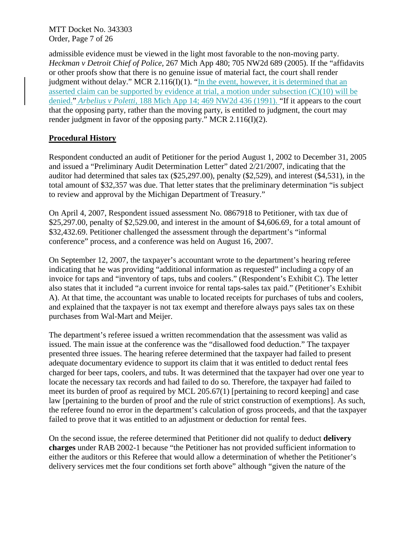MTT Docket No. 343303 Order, Page 7 of 26

admissible evidence must be viewed in the light most favorable to the non-moving party. *Heckman v Detroit Chief of Police*, 267 Mich App 480; 705 NW2d 689 (2005). If the "affidavits or other proofs show that there is no genuine issue of material fact, the court shall render judgment without delay." MCR 2.116(I)(1). "In the event, however, it is determined that an asserted claim can be supported by evidence at trial, a motion under subsection (C)(10) will be denied." *Arbelius v Poletti*, 188 Mich App 14; 469 NW2d 436 (1991). "If it appears to the court that the opposing party, rather than the moving party, is entitled to judgment, the court may render judgment in favor of the opposing party." MCR 2.116(I)(2).

## **Procedural History**

Respondent conducted an audit of Petitioner for the period August 1, 2002 to December 31, 2005 and issued a "Preliminary Audit Determination Letter" dated 2/21/2007, indicating that the auditor had determined that sales tax (\$25,297.00), penalty (\$2,529), and interest (\$4,531), in the total amount of \$32,357 was due. That letter states that the preliminary determination "is subject to review and approval by the Michigan Department of Treasury."

On April 4, 2007, Respondent issued assessment No. 0867918 to Petitioner, with tax due of \$25,297.00, penalty of \$2,529.00, and interest in the amount of \$4,606.69, for a total amount of \$32,432.69. Petitioner challenged the assessment through the department's "informal conference" process, and a conference was held on August 16, 2007.

On September 12, 2007, the taxpayer's accountant wrote to the department's hearing referee indicating that he was providing "additional information as requested" including a copy of an invoice for taps and "inventory of taps, tubs and coolers." (Respondent's Exhibit C). The letter also states that it included "a current invoice for rental taps-sales tax paid." (Petitioner's Exhibit A). At that time, the accountant was unable to located receipts for purchases of tubs and coolers, and explained that the taxpayer is not tax exempt and therefore always pays sales tax on these purchases from Wal-Mart and Meijer.

The department's referee issued a written recommendation that the assessment was valid as issued. The main issue at the conference was the "disallowed food deduction." The taxpayer presented three issues. The hearing referee determined that the taxpayer had failed to present adequate documentary evidence to support its claim that it was entitled to deduct rental fees charged for beer taps, coolers, and tubs. It was determined that the taxpayer had over one year to locate the necessary tax records and had failed to do so. Therefore, the taxpayer had failed to meet its burden of proof as required by MCL 205.67(1) [pertaining to record keeping] and case law [pertaining to the burden of proof and the rule of strict construction of exemptions]. As such, the referee found no error in the department's calculation of gross proceeds, and that the taxpayer failed to prove that it was entitled to an adjustment or deduction for rental fees.

On the second issue, the referee determined that Petitioner did not qualify to deduct **delivery charges** under RAB 2002-1 because "the Petitioner has not provided sufficient information to either the auditors or this Referee that would allow a determination of whether the Petitioner's delivery services met the four conditions set forth above" although "given the nature of the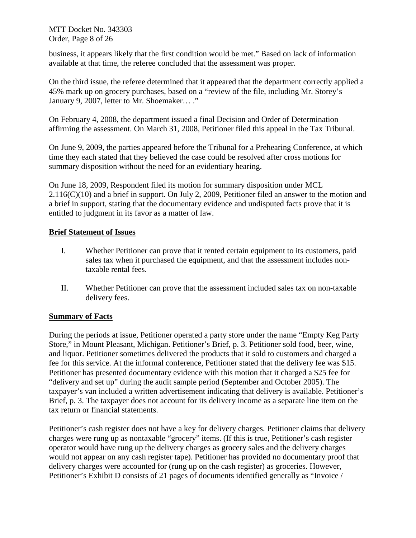MTT Docket No. 343303 Order, Page 8 of 26

business, it appears likely that the first condition would be met." Based on lack of information available at that time, the referee concluded that the assessment was proper.

On the third issue, the referee determined that it appeared that the department correctly applied a 45% mark up on grocery purchases, based on a "review of the file, including Mr. Storey's January 9, 2007, letter to Mr. Shoemaker… ."

On February 4, 2008, the department issued a final Decision and Order of Determination affirming the assessment. On March 31, 2008, Petitioner filed this appeal in the Tax Tribunal.

On June 9, 2009, the parties appeared before the Tribunal for a Prehearing Conference, at which time they each stated that they believed the case could be resolved after cross motions for summary disposition without the need for an evidentiary hearing.

On June 18, 2009, Respondent filed its motion for summary disposition under MCL  $2.116(C)(10)$  and a brief in support. On July 2, 2009, Petitioner filed an answer to the motion and a brief in support, stating that the documentary evidence and undisputed facts prove that it is entitled to judgment in its favor as a matter of law.

## **Brief Statement of Issues**

- I. Whether Petitioner can prove that it rented certain equipment to its customers, paid sales tax when it purchased the equipment, and that the assessment includes nontaxable rental fees.
- II. Whether Petitioner can prove that the assessment included sales tax on non-taxable delivery fees.

## **Summary of Facts**

During the periods at issue, Petitioner operated a party store under the name "Empty Keg Party Store," in Mount Pleasant, Michigan. Petitioner's Brief, p. 3. Petitioner sold food, beer, wine, and liquor. Petitioner sometimes delivered the products that it sold to customers and charged a fee for this service. At the informal conference, Petitioner stated that the delivery fee was \$15. Petitioner has presented documentary evidence with this motion that it charged a \$25 fee for "delivery and set up" during the audit sample period (September and October 2005). The taxpayer's van included a written advertisement indicating that delivery is available. Petitioner's Brief, p. 3. The taxpayer does not account for its delivery income as a separate line item on the tax return or financial statements.

Petitioner's cash register does not have a key for delivery charges. Petitioner claims that delivery charges were rung up as nontaxable "grocery" items. (If this is true, Petitioner's cash register operator would have rung up the delivery charges as grocery sales and the delivery charges would not appear on any cash register tape). Petitioner has provided no documentary proof that delivery charges were accounted for (rung up on the cash register) as groceries. However, Petitioner's Exhibit D consists of 21 pages of documents identified generally as "Invoice /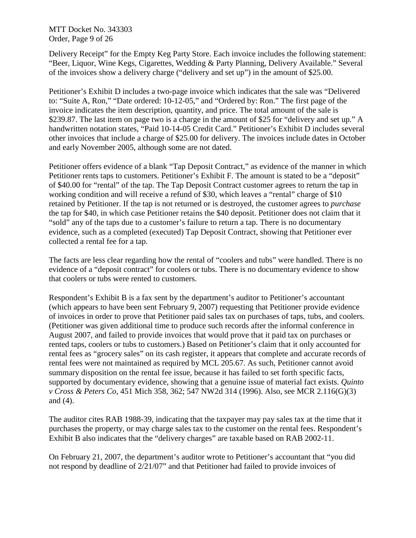MTT Docket No. 343303 Order, Page 9 of 26

Delivery Receipt" for the Empty Keg Party Store. Each invoice includes the following statement: "Beer, Liquor, Wine Kegs, Cigarettes, Wedding & Party Planning, Delivery Available." Several of the invoices show a delivery charge ("delivery and set up") in the amount of \$25.00.

Petitioner's Exhibit D includes a two-page invoice which indicates that the sale was "Delivered to: "Suite A, Ron," "Date ordered: 10-12-05," and "Ordered by: Ron." The first page of the invoice indicates the item description, quantity, and price. The total amount of the sale is \$239.87. The last item on page two is a charge in the amount of \$25 for "delivery and set up." A handwritten notation states, "Paid 10-14-05 Credit Card." Petitioner's Exhibit D includes several other invoices that include a charge of \$25.00 for delivery. The invoices include dates in October and early November 2005, although some are not dated.

Petitioner offers evidence of a blank "Tap Deposit Contract," as evidence of the manner in which Petitioner rents taps to customers. Petitioner's Exhibit F. The amount is stated to be a "deposit" of \$40.00 for "rental" of the tap. The Tap Deposit Contract customer agrees to return the tap in working condition and will receive a refund of \$30, which leaves a "rental" charge of \$10 retained by Petitioner. If the tap is not returned or is destroyed, the customer agrees to *purchase* the tap for \$40, in which case Petitioner retains the \$40 deposit. Petitioner does not claim that it "sold" any of the taps due to a customer's failure to return a tap. There is no documentary evidence, such as a completed (executed) Tap Deposit Contract, showing that Petitioner ever collected a rental fee for a tap.

The facts are less clear regarding how the rental of "coolers and tubs" were handled. There is no evidence of a "deposit contract" for coolers or tubs. There is no documentary evidence to show that coolers or tubs were rented to customers.

Respondent's Exhibit B is a fax sent by the department's auditor to Petitioner's accountant (which appears to have been sent February 9, 2007) requesting that Petitioner provide evidence of invoices in order to prove that Petitioner paid sales tax on purchases of taps, tubs, and coolers. (Petitioner was given additional time to produce such records after the informal conference in August 2007, and failed to provide invoices that would prove that it paid tax on purchases or rented taps, coolers or tubs to customers.) Based on Petitioner's claim that it only accounted for rental fees as "grocery sales" on its cash register, it appears that complete and accurate records of rental fees were not maintained as required by MCL 205.67. As such, Petitioner cannot avoid summary disposition on the rental fee issue, because it has failed to set forth specific facts, supported by documentary evidence, showing that a genuine issue of material fact exists. *Quinto v Cross & Peters Co*, 451 Mich 358, 362; 547 NW2d 314 (1996). Also, see MCR 2.116(G)(3) and (4).

The auditor cites RAB 1988-39, indicating that the taxpayer may pay sales tax at the time that it purchases the property, or may charge sales tax to the customer on the rental fees. Respondent's Exhibit B also indicates that the "delivery charges" are taxable based on RAB 2002-11.

On February 21, 2007, the department's auditor wrote to Petitioner's accountant that "you did not respond by deadline of 2/21/07" and that Petitioner had failed to provide invoices of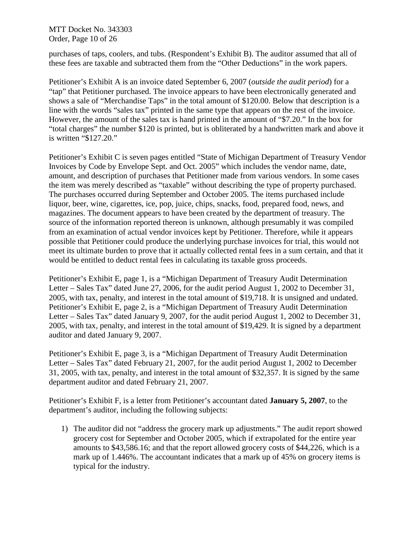MTT Docket No. 343303 Order, Page 10 of 26

purchases of taps, coolers, and tubs. (Respondent's Exhibit B). The auditor assumed that all of these fees are taxable and subtracted them from the "Other Deductions" in the work papers.

Petitioner's Exhibit A is an invoice dated September 6, 2007 (*outside the audit period*) for a "tap" that Petitioner purchased. The invoice appears to have been electronically generated and shows a sale of "Merchandise Taps" in the total amount of \$120.00. Below that description is a line with the words "sales tax" printed in the same type that appears on the rest of the invoice. However, the amount of the sales tax is hand printed in the amount of "\$7.20." In the box for "total charges" the number \$120 is printed, but is obliterated by a handwritten mark and above it is written "\$127.20."

Petitioner's Exhibit C is seven pages entitled "State of Michigan Department of Treasury Vendor Invoices by Code by Envelope Sept. and Oct. 2005" which includes the vendor name, date, amount, and description of purchases that Petitioner made from various vendors. In some cases the item was merely described as "taxable" without describing the type of property purchased. The purchases occurred during September and October 2005. The items purchased include liquor, beer, wine, cigarettes, ice, pop, juice, chips, snacks, food, prepared food, news, and magazines. The document appears to have been created by the department of treasury. The source of the information reported thereon is unknown, although presumably it was compiled from an examination of actual vendor invoices kept by Petitioner. Therefore, while it appears possible that Petitioner could produce the underlying purchase invoices for trial, this would not meet its ultimate burden to prove that it actually collected rental fees in a sum certain, and that it would be entitled to deduct rental fees in calculating its taxable gross proceeds.

Petitioner's Exhibit E, page 1, is a "Michigan Department of Treasury Audit Determination Letter – Sales Tax" dated June 27, 2006, for the audit period August 1, 2002 to December 31, 2005, with tax, penalty, and interest in the total amount of \$19,718. It is unsigned and undated. Petitioner's Exhibit E, page 2, is a "Michigan Department of Treasury Audit Determination Letter – Sales Tax" dated January 9, 2007, for the audit period August 1, 2002 to December 31, 2005, with tax, penalty, and interest in the total amount of \$19,429. It is signed by a department auditor and dated January 9, 2007.

Petitioner's Exhibit E, page 3, is a "Michigan Department of Treasury Audit Determination Letter – Sales Tax" dated February 21, 2007, for the audit period August 1, 2002 to December 31, 2005, with tax, penalty, and interest in the total amount of \$32,357. It is signed by the same department auditor and dated February 21, 2007.

Petitioner's Exhibit F, is a letter from Petitioner's accountant dated **January 5, 2007**, to the department's auditor, including the following subjects:

1) The auditor did not "address the grocery mark up adjustments." The audit report showed grocery cost for September and October 2005, which if extrapolated for the entire year amounts to \$43,586.16; and that the report allowed grocery costs of \$44,226, which is a mark up of 1.446%. The accountant indicates that a mark up of 45% on grocery items is typical for the industry.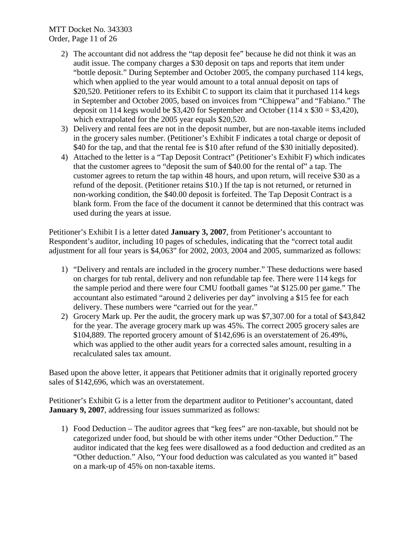## MTT Docket No. 343303 Order, Page 11 of 26

- 2) The accountant did not address the "tap deposit fee" because he did not think it was an audit issue. The company charges a \$30 deposit on taps and reports that item under "bottle deposit." During September and October 2005, the company purchased 114 kegs, which when applied to the year would amount to a total annual deposit on taps of \$20,520. Petitioner refers to its Exhibit C to support its claim that it purchased 114 kegs in September and October 2005, based on invoices from "Chippewa" and "Fabiano." The deposit on 114 kegs would be \$3,420 for September and October (114 x  $$30 = $3,420$ ), which extrapolated for the 2005 year equals \$20,520.
- 3) Delivery and rental fees are not in the deposit number, but are non-taxable items included in the grocery sales number. (Petitioner's Exhibit F indicates a total charge or deposit of \$40 for the tap, and that the rental fee is \$10 after refund of the \$30 initially deposited).
- 4) Attached to the letter is a "Tap Deposit Contract" (Petitioner's Exhibit F) which indicates that the customer agrees to "deposit the sum of \$40.00 for the rental of" a tap. The customer agrees to return the tap within 48 hours, and upon return, will receive \$30 as a refund of the deposit. (Petitioner retains \$10.) If the tap is not returned, or returned in non-working condition, the \$40.00 deposit is forfeited. The Tap Deposit Contract is a blank form. From the face of the document it cannot be determined that this contract was used during the years at issue.

Petitioner's Exhibit I is a letter dated **January 3, 2007**, from Petitioner's accountant to Respondent's auditor, including 10 pages of schedules, indicating that the "correct total audit adjustment for all four years is \$4,063" for 2002, 2003, 2004 and 2005, summarized as follows:

- 1) "Delivery and rentals are included in the grocery number." These deductions were based on charges for tub rental, delivery and non refundable tap fee. There were 114 kegs for the sample period and there were four CMU football games "at \$125.00 per game." The accountant also estimated "around 2 deliveries per day" involving a \$15 fee for each delivery. These numbers were "carried out for the year."
- 2) Grocery Mark up. Per the audit, the grocery mark up was \$7,307.00 for a total of \$43,842 for the year. The average grocery mark up was 45%. The correct 2005 grocery sales are \$104,889. The reported grocery amount of \$142,696 is an overstatement of 26.49%, which was applied to the other audit years for a corrected sales amount, resulting in a recalculated sales tax amount.

Based upon the above letter, it appears that Petitioner admits that it originally reported grocery sales of \$142,696, which was an overstatement.

Petitioner's Exhibit G is a letter from the department auditor to Petitioner's accountant, dated **January 9, 2007**, addressing four issues summarized as follows:

1) Food Deduction – The auditor agrees that "keg fees" are non-taxable, but should not be categorized under food, but should be with other items under "Other Deduction." The auditor indicated that the keg fees were disallowed as a food deduction and credited as an "Other deduction." Also, "Your food deduction was calculated as you wanted it" based on a mark-up of 45% on non-taxable items.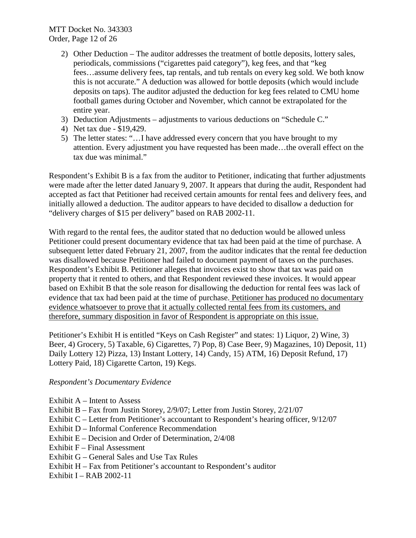- 2) Other Deduction The auditor addresses the treatment of bottle deposits, lottery sales, periodicals, commissions ("cigarettes paid category"), keg fees, and that "keg fees…assume delivery fees, tap rentals, and tub rentals on every keg sold. We both know this is not accurate." A deduction was allowed for bottle deposits (which would include deposits on taps). The auditor adjusted the deduction for keg fees related to CMU home football games during October and November, which cannot be extrapolated for the entire year.
- 3) Deduction Adjustments adjustments to various deductions on "Schedule C."
- 4) Net tax due \$19,429.
- 5) The letter states: "…I have addressed every concern that you have brought to my attention. Every adjustment you have requested has been made…the overall effect on the tax due was minimal."

Respondent's Exhibit B is a fax from the auditor to Petitioner, indicating that further adjustments were made after the letter dated January 9, 2007. It appears that during the audit, Respondent had accepted as fact that Petitioner had received certain amounts for rental fees and delivery fees, and initially allowed a deduction. The auditor appears to have decided to disallow a deduction for "delivery charges of \$15 per delivery" based on RAB 2002-11.

With regard to the rental fees, the auditor stated that no deduction would be allowed unless Petitioner could present documentary evidence that tax had been paid at the time of purchase. A subsequent letter dated February 21, 2007, from the auditor indicates that the rental fee deduction was disallowed because Petitioner had failed to document payment of taxes on the purchases. Respondent's Exhibit B. Petitioner alleges that invoices exist to show that tax was paid on property that it rented to others, and that Respondent reviewed these invoices. It would appear based on Exhibit B that the sole reason for disallowing the deduction for rental fees was lack of evidence that tax had been paid at the time of purchase. Petitioner has produced no documentary evidence whatsoever to prove that it actually collected rental fees from its customers, and therefore, summary disposition in favor of Respondent is appropriate on this issue.

Petitioner's Exhibit H is entitled "Keys on Cash Register" and states: 1) Liquor, 2) Wine, 3) Beer, 4) Grocery, 5) Taxable, 6) Cigarettes, 7) Pop, 8) Case Beer, 9) Magazines, 10) Deposit, 11) Daily Lottery 12) Pizza, 13) Instant Lottery, 14) Candy, 15) ATM, 16) Deposit Refund, 17) Lottery Paid, 18) Cigarette Carton, 19) Kegs.

#### *Respondent's Documentary Evidence*

- Exhibit A Intent to Assess
- Exhibit B Fax from Justin Storey, 2/9/07; Letter from Justin Storey, 2/21/07
- Exhibit C Letter from Petitioner's accountant to Respondent's hearing officer, 9/12/07
- Exhibit D Informal Conference Recommendation
- Exhibit E Decision and Order of Determination, 2/4/08
- Exhibit  $F$  Final Assessment
- Exhibit G General Sales and Use Tax Rules
- Exhibit H Fax from Petitioner's accountant to Respondent's auditor
- Exhibit I RAB 2002-11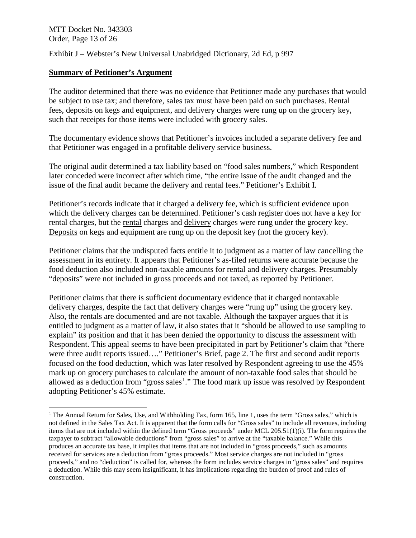MTT Docket No. 343303 Order, Page 13 of 26

Exhibit J – Webster's New Universal Unabridged Dictionary, 2d Ed, p 997

### **Summary of Petitioner's Argument**

The auditor determined that there was no evidence that Petitioner made any purchases that would be subject to use tax; and therefore, sales tax must have been paid on such purchases. Rental fees, deposits on kegs and equipment, and delivery charges were rung up on the grocery key, such that receipts for those items were included with grocery sales.

The documentary evidence shows that Petitioner's invoices included a separate delivery fee and that Petitioner was engaged in a profitable delivery service business.

The original audit determined a tax liability based on "food sales numbers," which Respondent later conceded were incorrect after which time, "the entire issue of the audit changed and the issue of the final audit became the delivery and rental fees." Petitioner's Exhibit I.

Petitioner's records indicate that it charged a delivery fee, which is sufficient evidence upon which the delivery charges can be determined. Petitioner's cash register does not have a key for rental charges, but the rental charges and delivery charges were rung under the grocery key. Deposits on kegs and equipment are rung up on the deposit key (not the grocery key).

Petitioner claims that the undisputed facts entitle it to judgment as a matter of law cancelling the assessment in its entirety. It appears that Petitioner's as-filed returns were accurate because the food deduction also included non-taxable amounts for rental and delivery charges. Presumably "deposits" were not included in gross proceeds and not taxed, as reported by Petitioner.

Petitioner claims that there is sufficient documentary evidence that it charged nontaxable delivery charges, despite the fact that delivery charges were "rung up" using the grocery key. Also, the rentals are documented and are not taxable. Although the taxpayer argues that it is entitled to judgment as a matter of law, it also states that it "should be allowed to use sampling to explain" its position and that it has been denied the opportunity to discuss the assessment with Respondent. This appeal seems to have been precipitated in part by Petitioner's claim that "there were three audit reports issued…." Petitioner's Brief, page 2. The first and second audit reports focused on the food deduction, which was later resolved by Respondent agreeing to use the 45% mark up on grocery purchases to calculate the amount of non-taxable food sales that should be allowed as a deduction from "gross sales<sup>[1](#page-12-0)</sup>." The food mark up issue was resolved by Respondent adopting Petitioner's 45% estimate.

<span id="page-12-0"></span><sup>&</sup>lt;sup>1</sup> The Annual Return for Sales, Use, and Withholding Tax, form 165, line 1, uses the term "Gross sales," which is not defined in the Sales Tax Act. It is apparent that the form calls for "Gross sales" to include all revenues, including items that are not included within the defined term "Gross proceeds" under MCL 205.51(1)(i). The form requires the taxpayer to subtract "allowable deductions" from "gross sales" to arrive at the "taxable balance." While this produces an accurate tax base, it implies that items that are not included in "gross proceeds," such as amounts received for services are a deduction from "gross proceeds." Most service charges are not included in "gross proceeds," and no "deduction" is called for, whereas the form includes service charges in "gross sales" and requires a deduction. While this may seem insignificant, it has implications regarding the burden of proof and rules of construction.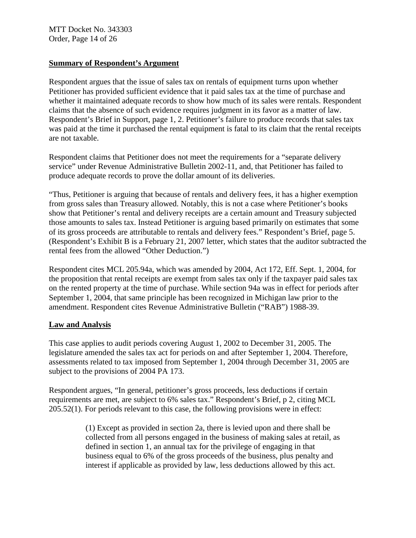MTT Docket No. 343303 Order, Page 14 of 26

### **Summary of Respondent's Argument**

Respondent argues that the issue of sales tax on rentals of equipment turns upon whether Petitioner has provided sufficient evidence that it paid sales tax at the time of purchase and whether it maintained adequate records to show how much of its sales were rentals. Respondent claims that the absence of such evidence requires judgment in its favor as a matter of law. Respondent's Brief in Support, page 1, 2. Petitioner's failure to produce records that sales tax was paid at the time it purchased the rental equipment is fatal to its claim that the rental receipts are not taxable.

Respondent claims that Petitioner does not meet the requirements for a "separate delivery service" under Revenue Administrative Bulletin 2002-11, and, that Petitioner has failed to produce adequate records to prove the dollar amount of its deliveries.

"Thus, Petitioner is arguing that because of rentals and delivery fees, it has a higher exemption from gross sales than Treasury allowed. Notably, this is not a case where Petitioner's books show that Petitioner's rental and delivery receipts are a certain amount and Treasury subjected those amounts to sales tax. Instead Petitioner is arguing based primarily on estimates that some of its gross proceeds are attributable to rentals and delivery fees." Respondent's Brief, page 5. (Respondent's Exhibit B is a February 21, 2007 letter, which states that the auditor subtracted the rental fees from the allowed "Other Deduction.")

Respondent cites MCL 205.94a, which was amended by 2004, Act 172, Eff. Sept. 1, 2004, for the proposition that rental receipts are exempt from sales tax only if the taxpayer paid sales tax on the rented property at the time of purchase. While section 94a was in effect for periods after September 1, 2004, that same principle has been recognized in Michigan law prior to the amendment. Respondent cites Revenue Administrative Bulletin ("RAB") 1988-39.

#### **Law and Analysis**

This case applies to audit periods covering August 1, 2002 to December 31, 2005. The legislature amended the sales tax act for periods on and after September 1, 2004. Therefore, assessments related to tax imposed from September 1, 2004 through December 31, 2005 are subject to the provisions of 2004 PA 173.

Respondent argues, "In general, petitioner's gross proceeds, less deductions if certain requirements are met, are subject to 6% sales tax." Respondent's Brief, p 2, citing MCL 205.52(1). For periods relevant to this case, the following provisions were in effect:

> (1) Except as provided in section 2a, there is levied upon and there shall be collected from all persons engaged in the business of making sales at retail, as defined in section 1, an annual tax for the privilege of engaging in that business equal to 6% of the gross proceeds of the business, plus penalty and interest if applicable as provided by law, less deductions allowed by this act.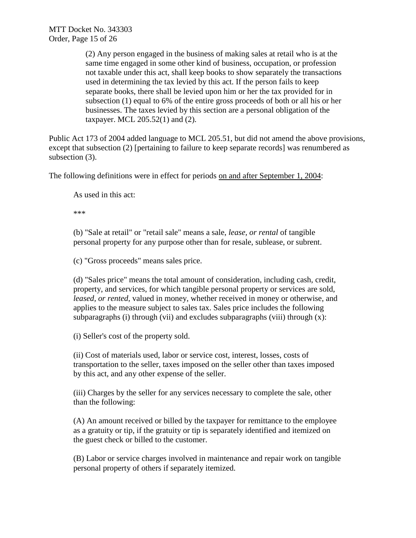(2) Any person engaged in the business of making sales at retail who is at the same time engaged in some other kind of business, occupation, or profession not taxable under this act, shall keep books to show separately the transactions used in determining the tax levied by this act. If the person fails to keep separate books, there shall be levied upon him or her the tax provided for in subsection (1) equal to 6% of the entire gross proceeds of both or all his or her businesses. The taxes levied by this section are a personal obligation of the taxpayer. MCL 205.52(1) and (2).

Public Act 173 of 2004 added language to MCL 205.51, but did not amend the above provisions, except that subsection (2) [pertaining to failure to keep separate records] was renumbered as subsection (3).

The following definitions were in effect for periods on and after September 1, 2004:

As used in this act:

\*\*\*

(b) "Sale at retail" or "retail sale" means a sale, *lease, or rental* of tangible personal property for any purpose other than for resale, sublease, or subrent.

(c) "Gross proceeds" means sales price.

(d) "Sales price" means the total amount of consideration, including cash, credit, property, and services, for which tangible personal property or services are sold, *leased, or rented*, valued in money, whether received in money or otherwise, and applies to the measure subject to sales tax. Sales price includes the following subparagraphs (i) through (vii) and excludes subparagraphs (viii) through  $(x)$ :

(i) Seller's cost of the property sold.

(ii) Cost of materials used, labor or service cost, interest, losses, costs of transportation to the seller, taxes imposed on the seller other than taxes imposed by this act, and any other expense of the seller.

(iii) Charges by the seller for any services necessary to complete the sale, other than the following:

(A) An amount received or billed by the taxpayer for remittance to the employee as a gratuity or tip, if the gratuity or tip is separately identified and itemized on the guest check or billed to the customer.

(B) Labor or service charges involved in maintenance and repair work on tangible personal property of others if separately itemized.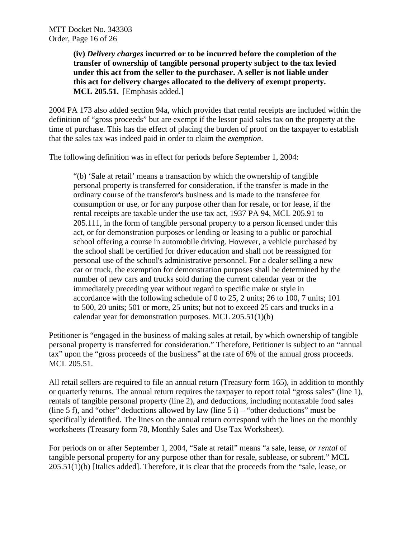**(iv)** *Delivery charges* **incurred or to be incurred before the completion of the transfer of ownership of tangible personal property subject to the tax levied under this act from the seller to the purchaser. A seller is not liable under this act for delivery charges allocated to the delivery of exempt property. MCL 205.51.** [Emphasis added.]

2004 PA 173 also added section 94a, which provides that rental receipts are included within the definition of "gross proceeds" but are exempt if the lessor paid sales tax on the property at the time of purchase. This has the effect of placing the burden of proof on the taxpayer to establish that the sales tax was indeed paid in order to claim the *exemption*.

The following definition was in effect for periods before September 1, 2004:

"(b) 'Sale at retail' means a transaction by which the ownership of tangible personal property is transferred for consideration, if the transfer is made in the ordinary course of the transferor's business and is made to the transferee for consumption or use, or for any purpose other than for resale, or for lease, if the rental receipts are taxable under the use tax act, 1937 PA 94, MCL 205.91 to 205.111, in the form of tangible personal property to a person licensed under this act, or for demonstration purposes or lending or leasing to a public or parochial school offering a course in automobile driving. However, a vehicle purchased by the school shall be certified for driver education and shall not be reassigned for personal use of the school's administrative personnel. For a dealer selling a new car or truck, the exemption for demonstration purposes shall be determined by the number of new cars and trucks sold during the current calendar year or the immediately preceding year without regard to specific make or style in accordance with the following schedule of 0 to 25, 2 units; 26 to 100, 7 units; 101 to 500, 20 units; 501 or more, 25 units; but not to exceed 25 cars and trucks in a calendar year for demonstration purposes. MCL 205.51(1)(b)

Petitioner is "engaged in the business of making sales at retail, by which ownership of tangible personal property is transferred for consideration." Therefore, Petitioner is subject to an "annual tax" upon the "gross proceeds of the business" at the rate of 6% of the annual gross proceeds. MCL 205.51.

All retail sellers are required to file an annual return (Treasury form 165), in addition to monthly or quarterly returns. The annual return requires the taxpayer to report total "gross sales" (line 1), rentals of tangible personal property (line 2), and deductions, including nontaxable food sales (line 5 f), and "other" deductions allowed by law (line 5 i) – "other deductions" must be specifically identified. The lines on the annual return correspond with the lines on the monthly worksheets (Treasury form 78, Monthly Sales and Use Tax Worksheet).

For periods on or after September 1, 2004, "Sale at retail" means "a sale, lease, *or rental* of tangible personal property for any purpose other than for resale, sublease, or subrent." MCL 205.51(1)(b) [Italics added]. Therefore, it is clear that the proceeds from the "sale, lease, or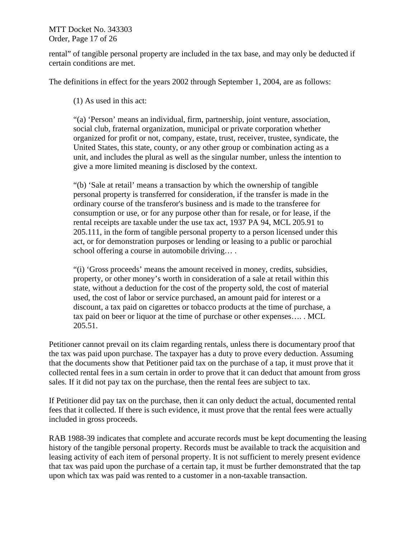MTT Docket No. 343303 Order, Page 17 of 26

rental" of tangible personal property are included in the tax base, and may only be deducted if certain conditions are met.

The definitions in effect for the years 2002 through September 1, 2004, are as follows:

(1) As used in this act:

"(a) 'Person' means an individual, firm, partnership, joint venture, association, social club, fraternal organization, municipal or private corporation whether organized for profit or not, company, estate, trust, receiver, trustee, syndicate, the United States, this state, county, or any other group or combination acting as a unit, and includes the plural as well as the singular number, unless the intention to give a more limited meaning is disclosed by the context.

"(b) 'Sale at retail' means a transaction by which the ownership of tangible personal property is transferred for consideration, if the transfer is made in the ordinary course of the transferor's business and is made to the transferee for consumption or use, or for any purpose other than for resale, or for lease, if the rental receipts are taxable under the use tax act, 1937 PA 94, MCL 205.91 to 205.111, in the form of tangible personal property to a person licensed under this act, or for demonstration purposes or lending or leasing to a public or parochial school offering a course in automobile driving....

"(i) 'Gross proceeds' means the amount received in money, credits, subsidies, property, or other money's worth in consideration of a sale at retail within this state, without a deduction for the cost of the property sold, the cost of material used, the cost of labor or service purchased, an amount paid for interest or a discount, a tax paid on cigarettes or tobacco products at the time of purchase, a tax paid on beer or liquor at the time of purchase or other expenses…. . MCL 205.51.

Petitioner cannot prevail on its claim regarding rentals, unless there is documentary proof that the tax was paid upon purchase. The taxpayer has a duty to prove every deduction. Assuming that the documents show that Petitioner paid tax on the purchase of a tap, it must prove that it collected rental fees in a sum certain in order to prove that it can deduct that amount from gross sales. If it did not pay tax on the purchase, then the rental fees are subject to tax.

If Petitioner did pay tax on the purchase, then it can only deduct the actual, documented rental fees that it collected. If there is such evidence, it must prove that the rental fees were actually included in gross proceeds.

RAB 1988-39 indicates that complete and accurate records must be kept documenting the leasing history of the tangible personal property. Records must be available to track the acquisition and leasing activity of each item of personal property. It is not sufficient to merely present evidence that tax was paid upon the purchase of a certain tap, it must be further demonstrated that the tap upon which tax was paid was rented to a customer in a non-taxable transaction.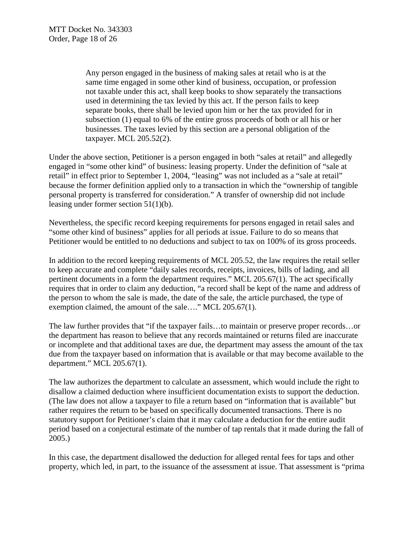Any person engaged in the business of making sales at retail who is at the same time engaged in some other kind of business, occupation, or profession not taxable under this act, shall keep books to show separately the transactions used in determining the tax levied by this act. If the person fails to keep separate books, there shall be levied upon him or her the tax provided for in subsection (1) equal to 6% of the entire gross proceeds of both or all his or her businesses. The taxes levied by this section are a personal obligation of the taxpayer. MCL 205.52(2).

Under the above section, Petitioner is a person engaged in both "sales at retail" and allegedly engaged in "some other kind" of business: leasing property. Under the definition of "sale at retail" in effect prior to September 1, 2004, "leasing" was not included as a "sale at retail" because the former definition applied only to a transaction in which the "ownership of tangible personal property is transferred for consideration." A transfer of ownership did not include leasing under former section 51(1)(b).

Nevertheless, the specific record keeping requirements for persons engaged in retail sales and "some other kind of business" applies for all periods at issue. Failure to do so means that Petitioner would be entitled to no deductions and subject to tax on 100% of its gross proceeds.

In addition to the record keeping requirements of MCL 205.52, the law requires the retail seller to keep accurate and complete "daily sales records, receipts, invoices, bills of lading, and all pertinent documents in a form the department requires." MCL 205.67(1). The act specifically requires that in order to claim any deduction, "a record shall be kept of the name and address of the person to whom the sale is made, the date of the sale, the article purchased, the type of exemption claimed, the amount of the sale…." MCL 205.67(1).

The law further provides that "if the taxpayer fails…to maintain or preserve proper records…or the department has reason to believe that any records maintained or returns filed are inaccurate or incomplete and that additional taxes are due, the department may assess the amount of the tax due from the taxpayer based on information that is available or that may become available to the department." MCL 205.67(1).

The law authorizes the department to calculate an assessment, which would include the right to disallow a claimed deduction where insufficient documentation exists to support the deduction. (The law does not allow a taxpayer to file a return based on "information that is available" but rather requires the return to be based on specifically documented transactions. There is no statutory support for Petitioner's claim that it may calculate a deduction for the entire audit period based on a conjectural estimate of the number of tap rentals that it made during the fall of 2005.)

In this case, the department disallowed the deduction for alleged rental fees for taps and other property, which led, in part, to the issuance of the assessment at issue. That assessment is "prima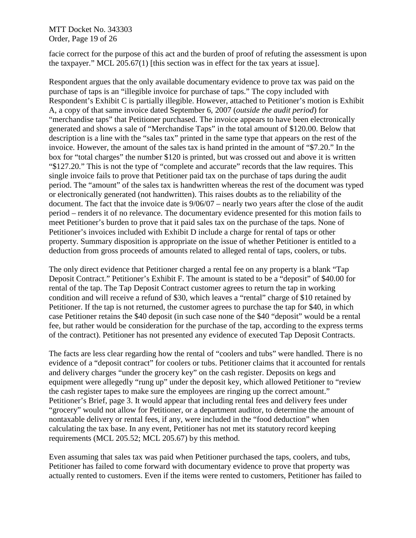#### MTT Docket No. 343303 Order, Page 19 of 26

facie correct for the purpose of this act and the burden of proof of refuting the assessment is upon the taxpayer." MCL 205.67(1) [this section was in effect for the tax years at issue].

Respondent argues that the only available documentary evidence to prove tax was paid on the purchase of taps is an "illegible invoice for purchase of taps." The copy included with Respondent's Exhibit C is partially illegible. However, attached to Petitioner's motion is Exhibit A, a copy of that same invoice dated September 6, 2007 (*outside the audit period*) for "merchandise taps" that Petitioner purchased. The invoice appears to have been electronically generated and shows a sale of "Merchandise Taps" in the total amount of \$120.00. Below that description is a line with the "sales tax" printed in the same type that appears on the rest of the invoice. However, the amount of the sales tax is hand printed in the amount of "\$7.20." In the box for "total charges" the number \$120 is printed, but was crossed out and above it is written "\$127.20." This is not the type of "complete and accurate" records that the law requires. This single invoice fails to prove that Petitioner paid tax on the purchase of taps during the audit period. The "amount" of the sales tax is handwritten whereas the rest of the document was typed or electronically generated (not handwritten). This raises doubts as to the reliability of the document. The fact that the invoice date is 9/06/07 – nearly two years after the close of the audit period – renders it of no relevance. The documentary evidence presented for this motion fails to meet Petitioner's burden to prove that it paid sales tax on the purchase of the taps. None of Petitioner's invoices included with Exhibit D include a charge for rental of taps or other property. Summary disposition is appropriate on the issue of whether Petitioner is entitled to a deduction from gross proceeds of amounts related to alleged rental of taps, coolers, or tubs.

The only direct evidence that Petitioner charged a rental fee on any property is a blank "Tap Deposit Contract." Petitioner's Exhibit F. The amount is stated to be a "deposit" of \$40.00 for rental of the tap. The Tap Deposit Contract customer agrees to return the tap in working condition and will receive a refund of \$30, which leaves a "rental" charge of \$10 retained by Petitioner. If the tap is not returned, the customer agrees to purchase the tap for \$40, in which case Petitioner retains the \$40 deposit (in such case none of the \$40 "deposit" would be a rental fee, but rather would be consideration for the purchase of the tap, according to the express terms of the contract). Petitioner has not presented any evidence of executed Tap Deposit Contracts.

The facts are less clear regarding how the rental of "coolers and tubs" were handled. There is no evidence of a "deposit contract" for coolers or tubs. Petitioner claims that it accounted for rentals and delivery charges "under the grocery key" on the cash register. Deposits on kegs and equipment were allegedly "rung up" under the deposit key, which allowed Petitioner to "review the cash register tapes to make sure the employees are ringing up the correct amount." Petitioner's Brief, page 3. It would appear that including rental fees and delivery fees under "grocery" would not allow for Petitioner, or a department auditor, to determine the amount of nontaxable delivery or rental fees, if any, were included in the "food deduction" when calculating the tax base. In any event, Petitioner has not met its statutory record keeping requirements (MCL 205.52; MCL 205.67) by this method.

Even assuming that sales tax was paid when Petitioner purchased the taps, coolers, and tubs, Petitioner has failed to come forward with documentary evidence to prove that property was actually rented to customers. Even if the items were rented to customers, Petitioner has failed to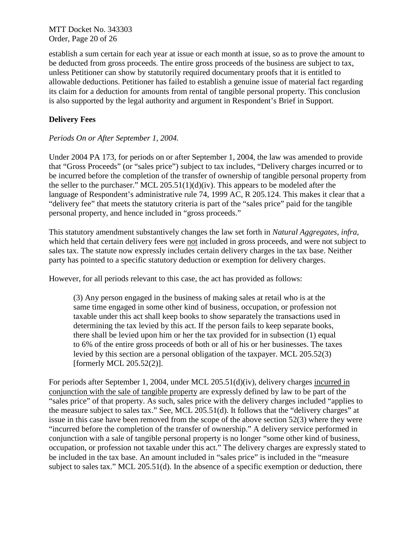MTT Docket No. 343303 Order, Page 20 of 26

establish a sum certain for each year at issue or each month at issue, so as to prove the amount to be deducted from gross proceeds. The entire gross proceeds of the business are subject to tax, unless Petitioner can show by statutorily required documentary proofs that it is entitled to allowable deductions. Petitioner has failed to establish a genuine issue of material fact regarding its claim for a deduction for amounts from rental of tangible personal property. This conclusion is also supported by the legal authority and argument in Respondent's Brief in Support.

# **Delivery Fees**

## *Periods On or After September 1, 2004.*

Under 2004 PA 173, for periods on or after September 1, 2004, the law was amended to provide that "Gross Proceeds" (or "sales price") subject to tax includes, "Delivery charges incurred or to be incurred before the completion of the transfer of ownership of tangible personal property from the seller to the purchaser." MCL  $205.51(1)(d)(iv)$ . This appears to be modeled after the language of Respondent's administrative rule 74, 1999 AC, R 205.124. This makes it clear that a "delivery fee" that meets the statutory criteria is part of the "sales price" paid for the tangible personal property, and hence included in "gross proceeds."

This statutory amendment substantively changes the law set forth in *Natural Aggregates*, *infra,*  which held that certain delivery fees were not included in gross proceeds, and were not subject to sales tax. The statute now expressly includes certain delivery charges in the tax base. Neither party has pointed to a specific statutory deduction or exemption for delivery charges.

However, for all periods relevant to this case, the act has provided as follows:

(3) Any person engaged in the business of making sales at retail who is at the same time engaged in some other kind of business, occupation, or profession not taxable under this act shall keep books to show separately the transactions used in determining the tax levied by this act. If the person fails to keep separate books, there shall be levied upon him or her the tax provided for in subsection (1) equal to 6% of the entire gross proceeds of both or all of his or her businesses. The taxes levied by this section are a personal obligation of the taxpayer. MCL 205.52(3) [formerly MCL 205.52(2)].

For periods after September 1, 2004, under MCL 205.51(d)(iv), delivery charges incurred in conjunction with the sale of tangible property are expressly defined by law to be part of the "sales price" of that property. As such, sales price with the delivery charges included "applies to the measure subject to sales tax." See, MCL 205.51(d). It follows that the "delivery charges" at issue in this case have been removed from the scope of the above section 52(3) where they were "incurred before the completion of the transfer of ownership." A delivery service performed in conjunction with a sale of tangible personal property is no longer "some other kind of business, occupation, or profession not taxable under this act." The delivery charges are expressly stated to be included in the tax base. An amount included in "sales price" is included in the "measure subject to sales tax." MCL 205.51(d). In the absence of a specific exemption or deduction, there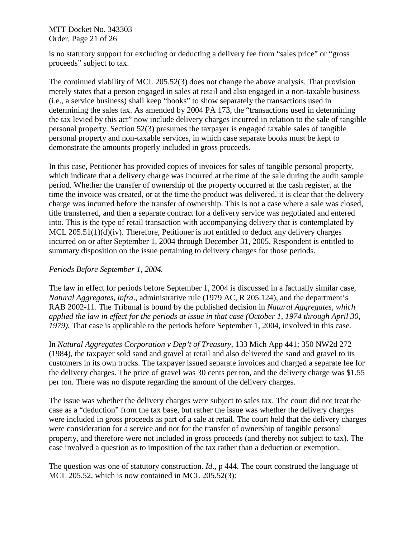MTT Docket No. 343303 Order, Page 21 of 26

is no statutory support for excluding or deducting a delivery fee from "sales price" or "gross proceeds" subject to tax.

The continued viability of MCL 205.52(3) does not change the above analysis. That provision merely states that a person engaged in sales at retail and also engaged in a non-taxable business (i.e., a service business) shall keep "books" to show separately the transactions used in determining the sales tax. As amended by 2004 PA 173, the "transactions used in determining the tax levied by this act" now include delivery charges incurred in relation to the sale of tangible personal property. Section 52(3) presumes the taxpayer is engaged taxable sales of tangible personal property and non-taxable services, in which case separate books must be kept to demonstrate the amounts properly included in gross proceeds.

In this case, Petitioner has provided copies of invoices for sales of tangible personal property, which indicate that a delivery charge was incurred at the time of the sale during the audit sample period. Whether the transfer of ownership of the property occurred at the cash register, at the time the invoice was created, or at the time the product was delivered, it is clear that the delivery charge was incurred before the transfer of ownership. This is not a case where a sale was closed, title transferred, and then a separate contract for a delivery service was negotiated and entered into. This is the type of retail transaction with accompanying delivery that is contemplated by MCL 205.51(1)(d)(iv). Therefore, Petitioner is not entitled to deduct any delivery charges incurred on or after September 1, 2004 through December 31, 2005. Respondent is entitled to summary disposition on the issue pertaining to delivery charges for those periods.

### *Periods Before September 1, 2004.*

The law in effect for periods before September 1, 2004 is discussed in a factually similar case, *Natural Aggregates, infra*., administrative rule (1979 AC, R 205.124), and the department's RAB 2002-11. The Tribunal is bound by the published decision in *Natural Aggregates, which applied the law in effect for the periods at issue in that case (October 1, 1974 through April 30, 1979).* That case is applicable to the periods before September 1, 2004, involved in this case*.* 

In *Natural Aggregates Corporation v Dep't of Treasury*, 133 Mich App 441; 350 NW2d 272 (1984), the taxpayer sold sand and gravel at retail and also delivered the sand and gravel to its customers in its own trucks. The taxpayer issued separate invoices and charged a separate fee for the delivery charges. The price of gravel was 30 cents per ton, and the delivery charge was \$1.55 per ton. There was no dispute regarding the amount of the delivery charges.

The issue was whether the delivery charges were subject to sales tax. The court did not treat the case as a "deduction" from the tax base, but rather the issue was whether the delivery charges were included in gross proceeds as part of a sale at retail. The court held that the delivery charges were consideration for a service and not for the transfer of ownership of tangible personal property, and therefore were not included in gross proceeds (and thereby not subject to tax). The case involved a question as to imposition of the tax rather than a deduction or exemption.

The question was one of statutory construction. *Id*., p 444. The court construed the language of MCL 205.52, which is now contained in MCL 205.52(3):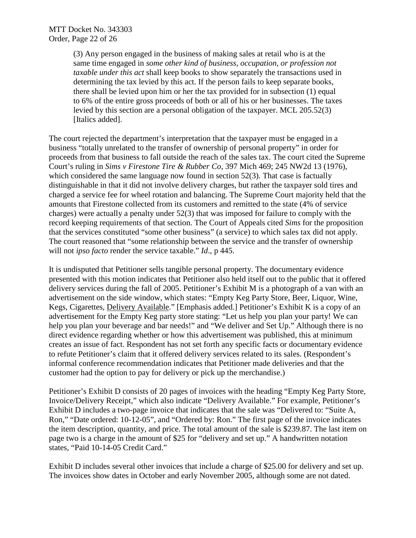(3) Any person engaged in the business of making sales at retail who is at the same time engaged in *some other kind of business, occupation, or profession not taxable under this act* shall keep books to show separately the transactions used in determining the tax levied by this act. If the person fails to keep separate books, there shall be levied upon him or her the tax provided for in subsection (1) equal to 6% of the entire gross proceeds of both or all of his or her businesses. The taxes levied by this section are a personal obligation of the taxpayer. MCL 205.52(3) [Italics added].

The court rejected the department's interpretation that the taxpayer must be engaged in a business "totally unrelated to the transfer of ownership of personal property" in order for proceeds from that business to fall outside the reach of the sales tax. The court cited the Supreme Court's ruling in *Sims v Firestone Tire & Rubber Co*, 397 Mich 469; 245 NW2d 13 (1976), which considered the same language now found in section 52(3). That case is factually distinguishable in that it did not involve delivery charges, but rather the taxpayer sold tires and charged a service fee for wheel rotation and balancing. The Supreme Court majority held that the amounts that Firestone collected from its customers and remitted to the state (4% of service charges) were actually a penalty under 52(3) that was imposed for failure to comply with the record keeping requirements of that section. The Court of Appeals cited *Sims* for the proposition that the services constituted "some other business" (a service) to which sales tax did not apply. The court reasoned that "some relationship between the service and the transfer of ownership will not *ipso facto* render the service taxable." *Id*., p 445.

It is undisputed that Petitioner sells tangible personal property. The documentary evidence presented with this motion indicates that Petitioner also held itself out to the public that it offered delivery services during the fall of 2005. Petitioner's Exhibit M is a photograph of a van with an advertisement on the side window, which states: "Empty Keg Party Store, Beer, Liquor, Wine, Kegs, Cigarettes, Delivery Available." [Emphasis added.] Petitioner's Exhibit K is a copy of an advertisement for the Empty Keg party store stating: "Let us help you plan your party! We can help you plan your beverage and bar needs!" and "We deliver and Set Up." Although there is no direct evidence regarding whether or how this advertisement was published, this at minimum creates an issue of fact. Respondent has not set forth any specific facts or documentary evidence to refute Petitioner's claim that it offered delivery services related to its sales. (Respondent's informal conference recommendation indicates that Petitioner made deliveries and that the customer had the option to pay for delivery or pick up the merchandise.)

Petitioner's Exhibit D consists of 20 pages of invoices with the heading "Empty Keg Party Store, Invoice/Delivery Receipt," which also indicate "Delivery Available." For example, Petitioner's Exhibit D includes a two-page invoice that indicates that the sale was "Delivered to: "Suite A, Ron," "Date ordered: 10-12-05", and "Ordered by: Ron." The first page of the invoice indicates the item description, quantity, and price. The total amount of the sale is \$239.87. The last item on page two is a charge in the amount of \$25 for "delivery and set up." A handwritten notation states, "Paid 10-14-05 Credit Card."

Exhibit D includes several other invoices that include a charge of \$25.00 for delivery and set up. The invoices show dates in October and early November 2005, although some are not dated.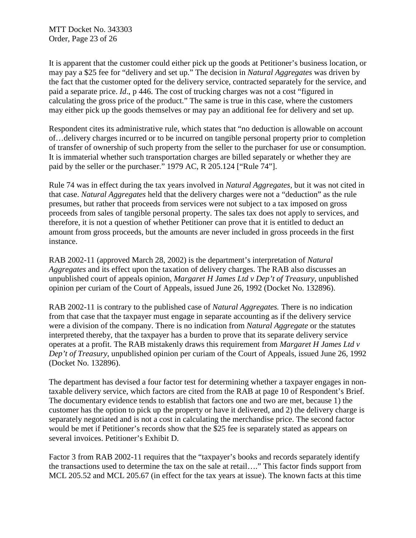MTT Docket No. 343303 Order, Page 23 of 26

It is apparent that the customer could either pick up the goods at Petitioner's business location, or may pay a \$25 fee for "delivery and set up." The decision in *Natural Aggregates* was driven by the fact that the customer opted for the delivery service, contracted separately for the service, and paid a separate price. *Id*., p 446. The cost of trucking charges was not a cost "figured in calculating the gross price of the product." The same is true in this case, where the customers may either pick up the goods themselves or may pay an additional fee for delivery and set up.

Respondent cites its administrative rule, which states that "no deduction is allowable on account of…delivery charges incurred or to be incurred on tangible personal property prior to completion of transfer of ownership of such property from the seller to the purchaser for use or consumption. It is immaterial whether such transportation charges are billed separately or whether they are paid by the seller or the purchaser." 1979 AC, R 205.124 ["Rule 74"].

Rule 74 was in effect during the tax years involved in *Natural Aggregates*, but it was not cited in that case. *Natural Aggregates* held that the delivery charges were not a "deduction" as the rule presumes, but rather that proceeds from services were not subject to a tax imposed on gross proceeds from sales of tangible personal property. The sales tax does not apply to services, and therefore, it is not a question of whether Petitioner can prove that it is entitled to deduct an amount from gross proceeds, but the amounts are never included in gross proceeds in the first instance.

RAB 2002-11 (approved March 28, 2002) is the department's interpretation of *Natural Aggregates* and its effect upon the taxation of delivery charges. The RAB also discusses an unpublished court of appeals opinion, *Margaret H James Ltd v Dep't of Treasury*, unpublished opinion per curiam of the Court of Appeals, issued June 26, 1992 (Docket No. 132896).

RAB 2002-11 is contrary to the published case of *Natural Aggregates.* There is no indication from that case that the taxpayer must engage in separate accounting as if the delivery service were a division of the company. There is no indication from *Natural Aggregate* or the statutes interpreted thereby, that the taxpayer has a burden to prove that its separate delivery service operates at a profit. The RAB mistakenly draws this requirement from *Margaret H James Ltd v Dep't of Treasury*, unpublished opinion per curiam of the Court of Appeals, issued June 26, 1992 (Docket No. 132896).

The department has devised a four factor test for determining whether a taxpayer engages in nontaxable delivery service, which factors are cited from the RAB at page 10 of Respondent's Brief. The documentary evidence tends to establish that factors one and two are met, because 1) the customer has the option to pick up the property or have it delivered, and 2) the delivery charge is separately negotiated and is not a cost in calculating the merchandise price. The second factor would be met if Petitioner's records show that the \$25 fee is separately stated as appears on several invoices. Petitioner's Exhibit D.

Factor 3 from RAB 2002-11 requires that the "taxpayer's books and records separately identify the transactions used to determine the tax on the sale at retail…." This factor finds support from MCL 205.52 and MCL 205.67 (in effect for the tax years at issue). The known facts at this time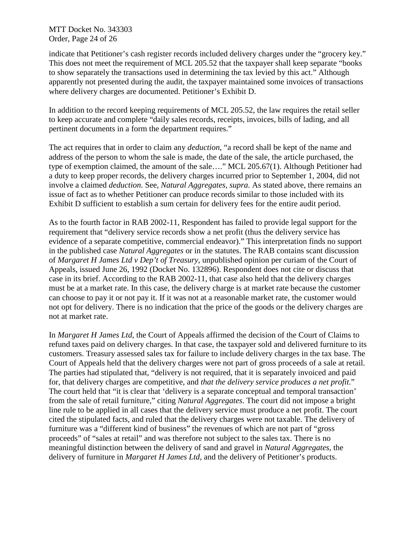MTT Docket No. 343303 Order, Page 24 of 26

indicate that Petitioner's cash register records included delivery charges under the "grocery key." This does not meet the requirement of MCL 205.52 that the taxpayer shall keep separate "books to show separately the transactions used in determining the tax levied by this act." Although apparently not presented during the audit, the taxpayer maintained some invoices of transactions where delivery charges are documented. Petitioner's Exhibit D.

In addition to the record keeping requirements of MCL 205.52, the law requires the retail seller to keep accurate and complete "daily sales records, receipts, invoices, bills of lading, and all pertinent documents in a form the department requires."

The act requires that in order to claim any *deduction*, "a record shall be kept of the name and address of the person to whom the sale is made, the date of the sale, the article purchased, the type of exemption claimed, the amount of the sale…." MCL 205.67(1). Although Petitioner had a duty to keep proper records, the delivery charges incurred prior to September 1, 2004, did not involve a claimed *deduction*. See, *Natural Aggregates, supra.* As stated above, there remains an issue of fact as to whether Petitioner can produce records similar to those included with its Exhibit D sufficient to establish a sum certain for delivery fees for the entire audit period.

As to the fourth factor in RAB 2002-11, Respondent has failed to provide legal support for the requirement that "delivery service records show a net profit (thus the delivery service has evidence of a separate competitive, commercial endeavor)." This interpretation finds no support in the published case *Natural Aggregates* or in the statutes. The RAB contains scant discussion of *Margaret H James Ltd v Dep't of Treasury*, unpublished opinion per curiam of the Court of Appeals, issued June 26, 1992 (Docket No. 132896). Respondent does not cite or discuss that case in its brief. According to the RAB 2002-11, that case also held that the delivery charges must be at a market rate. In this case, the delivery charge is at market rate because the customer can choose to pay it or not pay it. If it was not at a reasonable market rate, the customer would not opt for delivery. There is no indication that the price of the goods or the delivery charges are not at market rate.

In *Margaret H James Ltd,* the Court of Appeals affirmed the decision of the Court of Claims to refund taxes paid on delivery charges. In that case, the taxpayer sold and delivered furniture to its customers. Treasury assessed sales tax for failure to include delivery charges in the tax base. The Court of Appeals held that the delivery charges were not part of gross proceeds of a sale at retail. The parties had stipulated that, "delivery is not required, that it is separately invoiced and paid for, that delivery charges are competitive, and *that the delivery service produces a net profit*." The court held that "it is clear that 'delivery is a separate conceptual and temporal transaction' from the sale of retail furniture," citing *Natural Aggregates*. The court did not impose a bright line rule to be applied in all cases that the delivery service must produce a net profit. The court cited the stipulated facts, and ruled that the delivery charges were not taxable. The delivery of furniture was a "different kind of business" the revenues of which are not part of "gross proceeds" of "sales at retail" and was therefore not subject to the sales tax. There is no meaningful distinction between the delivery of sand and gravel in *Natural Aggregates*, the delivery of furniture in *Margaret H James Ltd,* and the delivery of Petitioner's products.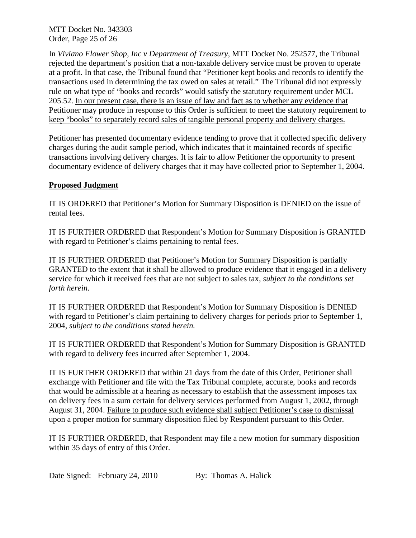MTT Docket No. 343303 Order, Page 25 of 26

In *Viviano Flower Shop, Inc v Department of Treasury*, MTT Docket No. 252577, the Tribunal rejected the department's position that a non-taxable delivery service must be proven to operate at a profit. In that case, the Tribunal found that "Petitioner kept books and records to identify the transactions used in determining the tax owed on sales at retail." The Tribunal did not expressly rule on what type of "books and records" would satisfy the statutory requirement under MCL 205.52. In our present case, there is an issue of law and fact as to whether any evidence that Petitioner may produce in response to this Order is sufficient to meet the statutory requirement to keep "books" to separately record sales of tangible personal property and delivery charges.

Petitioner has presented documentary evidence tending to prove that it collected specific delivery charges during the audit sample period, which indicates that it maintained records of specific transactions involving delivery charges. It is fair to allow Petitioner the opportunity to present documentary evidence of delivery charges that it may have collected prior to September 1, 2004.

## **Proposed Judgment**

IT IS ORDERED that Petitioner's Motion for Summary Disposition is DENIED on the issue of rental fees.

IT IS FURTHER ORDERED that Respondent's Motion for Summary Disposition is GRANTED with regard to Petitioner's claims pertaining to rental fees.

IT IS FURTHER ORDERED that Petitioner's Motion for Summary Disposition is partially GRANTED to the extent that it shall be allowed to produce evidence that it engaged in a delivery service for which it received fees that are not subject to sales tax, *subject to the conditions set forth herein*.

IT IS FURTHER ORDERED that Respondent's Motion for Summary Disposition is DENIED with regard to Petitioner's claim pertaining to delivery charges for periods prior to September 1, 2004, *subject to the conditions stated herein.*

IT IS FURTHER ORDERED that Respondent's Motion for Summary Disposition is GRANTED with regard to delivery fees incurred after September 1, 2004.

IT IS FURTHER ORDERED that within 21 days from the date of this Order, Petitioner shall exchange with Petitioner and file with the Tax Tribunal complete, accurate, books and records that would be admissible at a hearing as necessary to establish that the assessment imposes tax on delivery fees in a sum certain for delivery services performed from August 1, 2002, through August 31, 2004. Failure to produce such evidence shall subject Petitioner's case to dismissal upon a proper motion for summary disposition filed by Respondent pursuant to this Order.

IT IS FURTHER ORDERED, that Respondent may file a new motion for summary disposition within 35 days of entry of this Order.